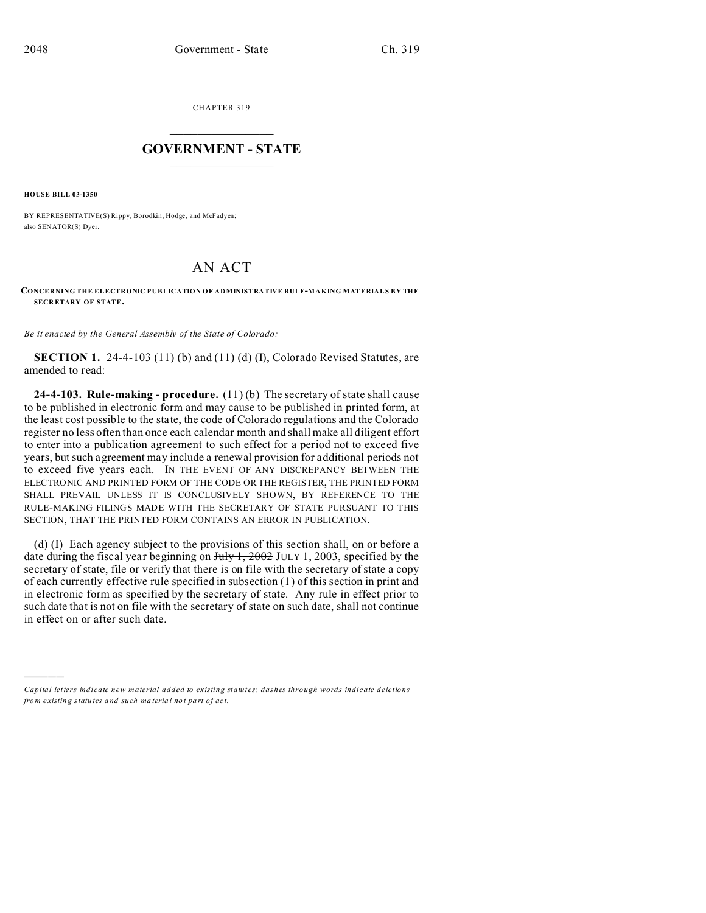CHAPTER 319  $\overline{\phantom{a}}$  , where  $\overline{\phantom{a}}$ 

## **GOVERNMENT - STATE**  $\_$   $\_$

**HOUSE BILL 03-1350**

)))))

BY REPRESENTATIVE(S) Rippy, Borodkin, Hodge, and McFadyen; also SENATOR(S) Dyer.

## AN ACT

## **CONCERNING THE ELECTRONIC PUBLICATION OF ADMINISTRATIVE RULE-MAKING MATERIALS BY THE SECR ETARY OF STATE.**

*Be it enacted by the General Assembly of the State of Colorado:*

**SECTION 1.** 24-4-103 (11) (b) and (11) (d) (I), Colorado Revised Statutes, are amended to read:

**24-4-103. Rule-making - procedure.** (11) (b) The secretary of state shall cause to be published in electronic form and may cause to be published in printed form, at the least cost possible to the state, the code of Colorado regulations and the Colorado register no less often than once each calendar month and shall make all diligent effort to enter into a publication agreement to such effect for a period not to exceed five years, but such agreement may include a renewal provision for additional periods not to exceed five years each. IN THE EVENT OF ANY DISCREPANCY BETWEEN THE ELECTRONIC AND PRINTED FORM OF THE CODE OR THE REGISTER, THE PRINTED FORM SHALL PREVAIL UNLESS IT IS CONCLUSIVELY SHOWN, BY REFERENCE TO THE RULE-MAKING FILINGS MADE WITH THE SECRETARY OF STATE PURSUANT TO THIS SECTION, THAT THE PRINTED FORM CONTAINS AN ERROR IN PUBLICATION.

(d) (I) Each agency subject to the provisions of this section shall, on or before a date during the fiscal year beginning on  $J_{\text{uly}}$  1, 2002 JULY 1, 2003, specified by the secretary of state, file or verify that there is on file with the secretary of state a copy of each currently effective rule specified in subsection (1) of this section in print and in electronic form as specified by the secretary of state. Any rule in effect prior to such date that is not on file with the secretary of state on such date, shall not continue in effect on or after such date.

*Capital letters indicate new material added to existing statutes; dashes through words indicate deletions from e xistin g statu tes a nd such ma teria l no t pa rt of ac t.*